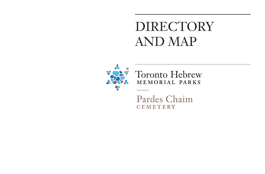## DIRECTORY AND MAP



**Toronto Hebrew** MEMORIAL PARKS

Pardes Chaim **CEMETERY**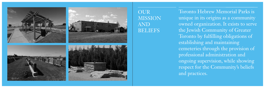







OUR MISSION AND BELIEFS

Toronto Hebrew Memorial Parks is unique in its origins as a community owned organization. It exists to serve the Jewish Community of Greater Toronto by fulfilling obligations of establishing and maintaining cemeteries through the provision of professional administration and ongoing supervision, while showing respect for the Community's beliefs and practices.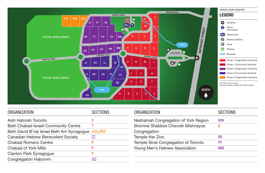

| <b>ORGANIZATION</b>                                | <b>SECTIONS</b> | <b>ORGANIZATION</b>                               | <b>SECTIONS</b> |
|----------------------------------------------------|-----------------|---------------------------------------------------|-----------------|
| Aish Hatorah Toronto                               | X               | Neshamah Congregation of York Region              | <b>WW</b>       |
| <b>Beth Chabad Israeli Community Centre</b>        |                 | Shomrai Shabbos Chevrah Mishnayos                 |                 |
| Beth David B'nai Israel Beth Am Synagogue AAA, BBB |                 | Congregation                                      |                 |
| <b>Canadian Hebrew Benevolent Society</b>          | <u>77</u>       | <b>Temple Har Zion</b>                            | <b>RR</b>       |
| <b>Chabad Romano Centre</b>                        |                 | Temple Sinai Congregation of Toronto<br><b>PP</b> |                 |
| <b>Chabad of York Mills</b>                        |                 | Young Men's Hebrew Association<br>MM              |                 |
| <b>Clanton Park Synagogue</b>                      |                 |                                                   |                 |
| <b>Congregation Habonim</b>                        | QQ              |                                                   |                 |
|                                                    |                 |                                                   |                 |

| k Region <sup>-</sup> | WW        |
|-----------------------|-----------|
| hnayos                | U         |
|                       | <b>RR</b> |
| oronto                | PP        |
| on                    | MM        |
|                       |           |